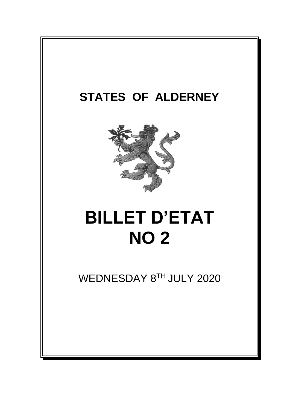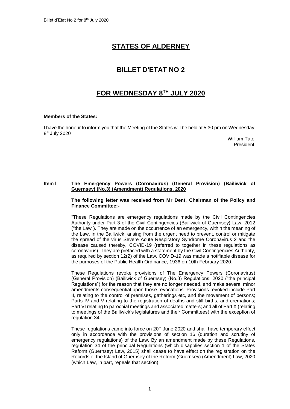# **STATES OF ALDERNEY**

# **BILLET D'ETAT NO 2**

# **FOR WEDNESDAY 8 TH JULY 2020**

# **Members of the States:**

I have the honour to inform you that the Meeting of the States will be held at 5:30 pm on Wednesday 8<sup>th</sup> July 2020

> William Tate President

## **Item l The Emergency Powers (Coronavirus) (General Provision) (Bailiwick of Guernsey) (No.3) (Amendment) Regulations, 2020**

### **The following letter was received from Mr Dent, Chairman of the Policy and Finance Committee:-**

"These Regulations are emergency regulations made by the Civil Contingencies Authority under Part 3 of the Civil Contingencies (Bailiwick of Guernsey) Law, 2012 ("the Law"). They are made on the occurrence of an emergency, within the meaning of the Law, in the Bailiwick, arising from the urgent need to prevent, control or mitigate the spread of the virus Severe Acute Respiratory Syndrome Coronavirus 2 and the disease caused thereby, COVID-19 (referred to together in these regulations as coronavirus). They are prefaced with a statement by the Civil Contingencies Authority, as required by section 12(2) of the Law. COVID-19 was made a notifiable disease for the purposes of the Public Health Ordinance, 1936 on 10th February 2020.

These Regulations revoke provisions of The Emergency Powers (Coronavirus) (General Provision) (Bailiwick of Guernsey) (No.3) Regulations, 2020 ("the principal Regulations") for the reason that they are no longer needed, and make several minor amendments consequential upon those revocations. Provisions revoked include Part II, relating to the control of premises, gatherings etc, and the movement of persons; Parts IV and V relating to the registration of deaths and still-births, and cremations; Part VI relating to parochial meetings and associated matters; and all of Part X (relating to meetings of the Bailiwick's legislatures and their Committees) with the exception of regulation 34.

These regulations came into force on  $20<sup>th</sup>$  June 2020 and shall have temporary effect only in accordance with the provisions of section 16 (duration and scrutiny of emergency regulations) of the Law. By an amendment made by these Regulations, regulation 34 of the principal Regulations (which disapplies section 1 of the States Reform (Guernsey) Law, 2015) shall cease to have effect on the registration on the Records of the Island of Guernsey of the Reform (Guernsey) (Amendment) Law, 2020 (which Law, in part, repeals that section).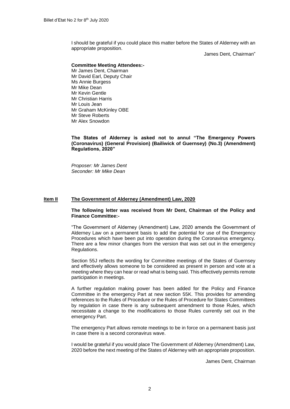I should be grateful if you could place this matter before the States of Alderney with an appropriate proposition.

James Dent, Chairman"

#### **Committee Meeting Attendees:-**

Mr James Dent, Chairman Mr David Earl, Deputy Chair Ms Annie Burgess Mr Mike Dean Mr Kevin Gentle Mr Christian Harris Mr Louis Jean Mr Graham McKinley OBE Mr Steve Roberts Mr Alex Snowdon

## **The States of Alderney is asked not to annul "The Emergency Powers (Coronavirus) (General Provision) (Bailiwick of Guernsey) (No.3) (Amendment) Regulations, 2020"**

*Proposer: Mr James Dent Seconder: Mr Mike Dean*

## **Item II The Government of Alderney (Amendment) Law, 2020**

### **The following letter was received from Mr Dent, Chairman of the Policy and Finance Committee:-**

"The Government of Alderney (Amendment) Law, 2020 amends the Government of Alderney Law on a permanent basis to add the potential for use of the Emergency Procedures which have been put into operation during the Coronavirus emergency. There are a few minor changes from the version that was set out in the emergency Regulations.

Section 55J reflects the wording for Committee meetings of the States of Guernsey and effectively allows someone to be considered as present in person and vote at a meeting where they can hear or read what is being said. This effectively permits remote participation in meetings.

A further regulation making power has been added for the Policy and Finance Committee in the emergency Part at new section 55K. This provides for amending references to the Rules of Procedure or the Rules of Procedure for States Committees by regulation in case there is any subsequent amendment to those Rules, which necessitate a change to the modifications to those Rules currently set out in the emergency Part.

The emergency Part allows remote meetings to be in force on a permanent basis just in case there is a second coronavirus wave.

I would be grateful if you would place The Government of Alderney (Amendment) Law, 2020 before the next meeting of the States of Alderney with an appropriate proposition.

James Dent, Chairman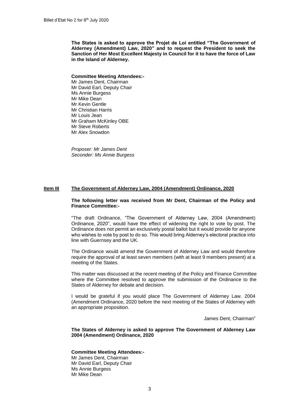**The States is asked to approve the Projet de Loi entitled "The Government of Alderney (Amendment) Law, 2020" and to request the President to seek the Sanction of Her Most Excellent Majesty in Council for it to have the force of Law in the Island of Alderney.**

#### **Committee Meeting Attendees:-**

Mr James Dent, Chairman Mr David Earl, Deputy Chair Ms Annie Burgess Mr Mike Dean Mr Kevin Gentle Mr Christian Harris Mr Louis Jean Mr Graham McKinley OBE Mr Steve Roberts Mr Alex Snowdon

*Proposer: Mr James Dent Seconder: Ms Annie Burgess*

# **Item III The Government of Alderney Law, 2004 (Amendment) Ordinance, 2020**

#### **The following letter was received from Mr Dent, Chairman of the Policy and Finance Committee:-**

"The draft Ordinance, "The Government of Alderney Law, 2004 (Amendment) Ordinance, 2020", would have the effect of widening the right to vote by post. The Ordinance does not permit an exclusively postal ballot but it would provide for anyone who wishes to vote by post to do so. This would bring Alderney's electoral practice into line with Guernsey and the UK.

The Ordinance would amend the Government of Alderney Law and would therefore require the approval of at least seven members (with at least 9 members present) at a meeting of the States.

This matter was discussed at the recent meeting of the Policy and Finance Committee where the Committee resolved to approve the submission of the Ordinance to the States of Alderney for debate and decision.

I would be grateful if you would place The Government of Alderney Law. 2004 (Amendment Ordinance, 2020 before the next meeting of the States of Alderney with an appropriate proposition.

James Dent, Chairman"

**The States of Alderney is asked to approve The Government of Alderney Law 2004 (Amendment) Ordinance, 2020**

### **Committee Meeting Attendees:-**

Mr James Dent, Chairman Mr David Earl, Deputy Chair Ms Annie Burgess Mr Mike Dean